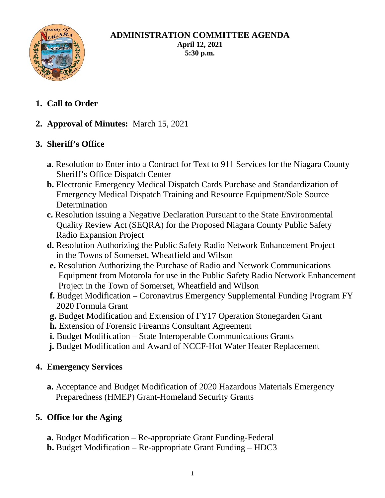

#### **ADMINISTRATION COMMITTEE AGENDA April 12, 2021 5:30 p.m.**

**1. Call to Order**

## **2. Approval of Minutes:** March 15, 2021

## **3. Sheriff's Office**

- **a.** Resolution to Enter into a Contract for Text to 911 Services for the Niagara County Sheriff's Office Dispatch Center
- **b.** Electronic Emergency Medical Dispatch Cards Purchase and Standardization of Emergency Medical Dispatch Training and Resource Equipment/Sole Source Determination
- **c.** Resolution issuing a Negative Declaration Pursuant to the State Environmental Quality Review Act (SEQRA) for the Proposed Niagara County Public Safety Radio Expansion Project
- **d.** Resolution Authorizing the Public Safety Radio Network Enhancement Project in the Towns of Somerset, Wheatfield and Wilson
- **e.** Resolution Authorizing the Purchase of Radio and Network Communications Equipment from Motorola for use in the Public Safety Radio Network Enhancement Project in the Town of Somerset, Wheatfield and Wilson
- **f.** Budget Modification Coronavirus Emergency Supplemental Funding Program FY 2020 Formula Grant
- **g.** Budget Modification and Extension of FY17 Operation Stonegarden Grant
- **h.** Extension of Forensic Firearms Consultant Agreement
- **i.** Budget Modification State Interoperable Communications Grants
- **j.** Budget Modification and Award of NCCF-Hot Water Heater Replacement

### **4. Emergency Services**

**a.** Acceptance and Budget Modification of 2020 Hazardous Materials Emergency Preparedness (HMEP) Grant-Homeland Security Grants

### **5. Office for the Aging**

- **a.** Budget Modification Re-appropriate Grant Funding-Federal
- **b.** Budget Modification Re-appropriate Grant Funding HDC3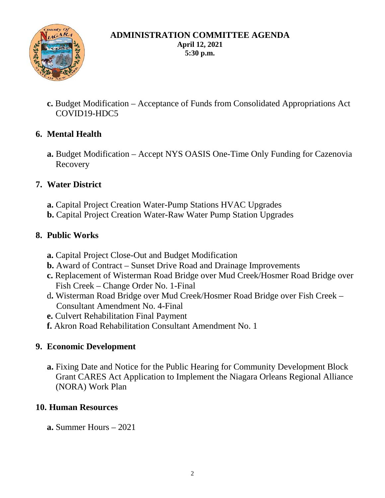

#### **ADMINISTRATION COMMITTEE AGENDA April 12, 2021 5:30 p.m.**

**c.** Budget Modification – Acceptance of Funds from Consolidated Appropriations Act COVID19-HDC5

## **6. Mental Health**

**a.** Budget Modification – Accept NYS OASIS One-Time Only Funding for Cazenovia Recovery

### **7. Water District**

- **a.** Capital Project Creation Water-Pump Stations HVAC Upgrades
- **b.** Capital Project Creation Water-Raw Water Pump Station Upgrades

### **8. Public Works**

- **a.** Capital Project Close-Out and Budget Modification
- **b.** Award of Contract Sunset Drive Road and Drainage Improvements
- **c.** Replacement of Wisterman Road Bridge over Mud Creek/Hosmer Road Bridge over Fish Creek – Change Order No. 1-Final
- d**.** Wisterman Road Bridge over Mud Creek/Hosmer Road Bridge over Fish Creek Consultant Amendment No. 4-Final
- **e.** Culvert Rehabilitation Final Payment
- **f.** Akron Road Rehabilitation Consultant Amendment No. 1

### **9. Economic Development**

**a.** Fixing Date and Notice for the Public Hearing for Community Development Block Grant CARES Act Application to Implement the Niagara Orleans Regional Alliance (NORA) Work Plan

#### **10. Human Resources**

**a.** Summer Hours – 2021